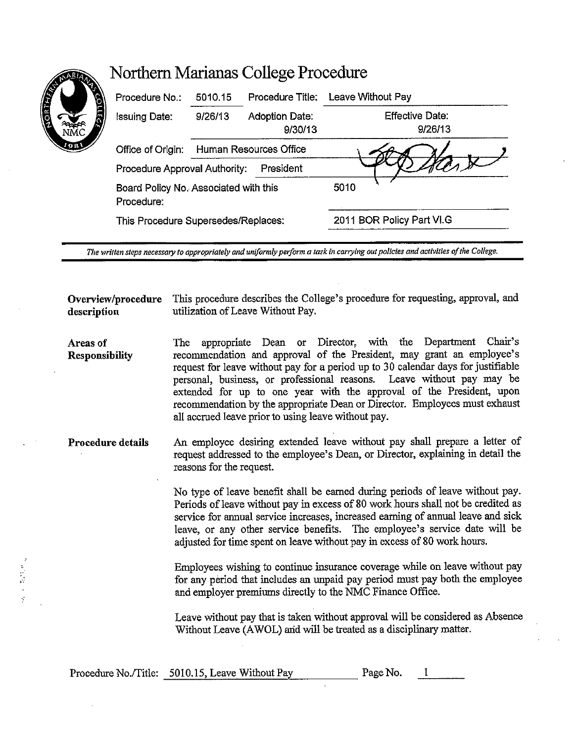| Procedure No.:                                      | 5010.15                | Procedure Title:          | Leave Without Pay          |  |
|-----------------------------------------------------|------------------------|---------------------------|----------------------------|--|
| Issuing Date:                                       | 9/26/13                | Adoption Date:<br>9/30/13 | Effective Date:<br>9/26/13 |  |
| Office of Origin:                                   | Human Resources Office |                           |                            |  |
| President<br>Procedure Approval Authority:          |                        |                           |                            |  |
| Board Policy No. Associated with this<br>Procedure: |                        |                           | 5010                       |  |
| This Procedure Supersedes/Replaces:                 |                        |                           | 2011 BOR Policy Part VI.G  |  |
|                                                     |                        |                           |                            |  |

Northern Marianas College Procedure

*The written steps necessary to appropriately and uniformly perform a task in carrying out policies and activities of the College.* 

**Overview/procedure** This procedure describes the College's procedure for requesting, approval, and description utilization of Leave Without Pay. **description** utilization of Leave Without Pay.

**Areas of Responsibility**  The appropriate Dean or Director, with the Department Chair's recommendation and approval of the President, may grant an employee's request for leave without pay for a period up to 30 calendar days for justifiable personal, business, or professional reasons. Leave without pay may be extended for up to one year with the approval of the President, upon recommendation by the appropriate Dean or Director. Employees must exhaust all accrued leave prior to using leave without pay.

**Procedure details**  An employee desiring extended leave without pay shall prepare a letter of request addressed to the employee's Dean, or Director, explaining in detail the reasons for the request.

> No type of leave benefit shall be earned during periods of leave without pay. Periods of leave without pay in excess of 80 work hours shall not be credited as service for annual service increases, increased earning of annual leave and sick leave, or any other service benefits. The employee's service date will be adjusted for time spent on leave without pay in excess of 80 work hours.

> Employees wishing to continue insurance coverage while on leave without pay for any period that includes an unpaid pay period must pay both the employee and employer premiums directly to the NMC Finance Office.

> Leave without pay that is taken without approval will be considered as Absence Without Leave (AWOL) arid will be treated as a disciplinary matter.

|  | Procedure No./Title: 5010.15, Leave Without Pay | Page No. |  |
|--|-------------------------------------------------|----------|--|
|--|-------------------------------------------------|----------|--|